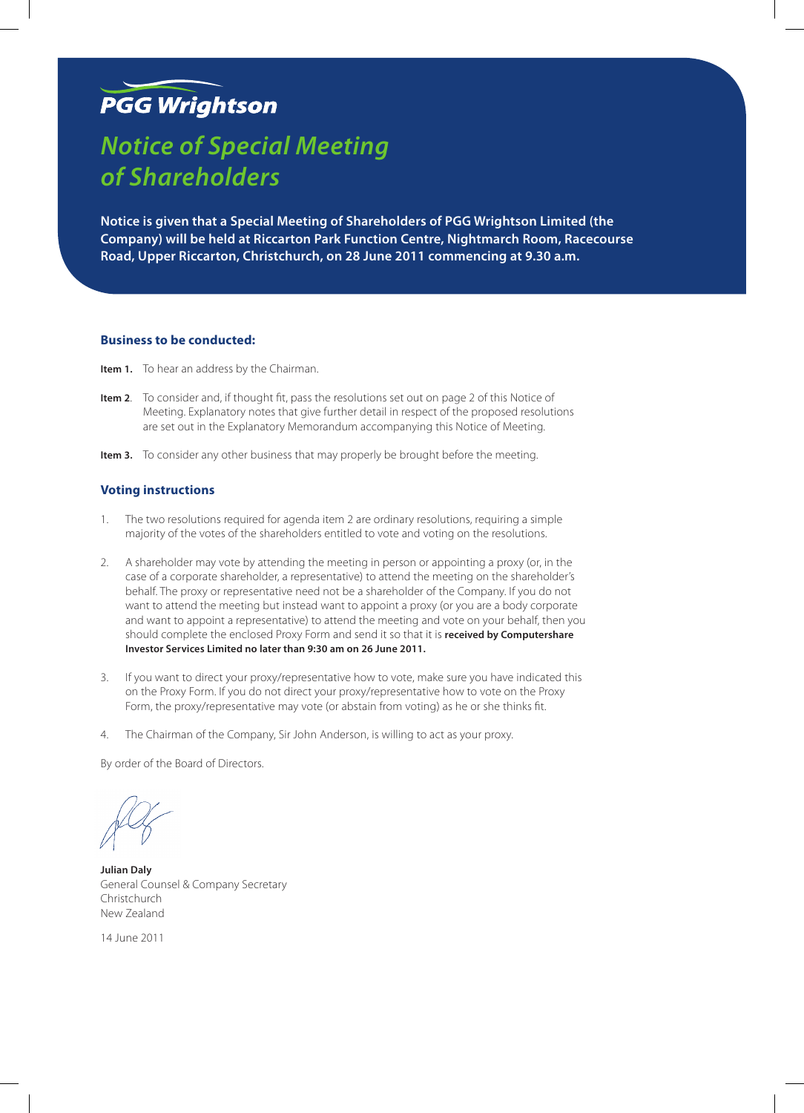# **PGG Wrightson**

# *Notice of Special Meeting of Shareholders*

**Notice is given that a Special Meeting of Shareholders of PGG Wrightson Limited (the Company) will be held at Riccarton Park Function Centre, Nightmarch Room, Racecourse Road, Upper Riccarton, Christchurch, on 28 June 2011 commencing at 9.30 a.m.**

# **Business to be conducted:**

- **Item 1.** To hear an address by the Chairman.
- **Item 2**. To consider and, if thought fit, pass the resolutions set out on page 2 of this Notice of Meeting. Explanatory notes that give further detail in respect of the proposed resolutions are set out in the Explanatory Memorandum accompanying this Notice of Meeting.
- **Item 3.** To consider any other business that may properly be brought before the meeting.

## **Voting instructions**

- 1. The two resolutions required for agenda item 2 are ordinary resolutions, requiring a simple majority of the votes of the shareholders entitled to vote and voting on the resolutions.
- 2. A shareholder may vote by attending the meeting in person or appointing a proxy (or, in the case of a corporate shareholder, a representative) to attend the meeting on the shareholder's behalf. The proxy or representative need not be a shareholder of the Company. If you do not want to attend the meeting but instead want to appoint a proxy (or you are a body corporate and want to appoint a representative) to attend the meeting and vote on your behalf, then you should complete the enclosed Proxy Form and send it so that it is **received by Computershare Investor Services Limited no later than 9:30 am on 26 June 2011.**
- 3. If you want to direct your proxy/representative how to vote, make sure you have indicated this on the Proxy Form. If you do not direct your proxy/representative how to vote on the Proxy Form, the proxy/representative may vote (or abstain from voting) as he or she thinks fit.
- 4. The Chairman of the Company, Sir John Anderson, is willing to act as your proxy.

By order of the Board of Directors.

**Julian Daly** General Counsel & Company Secretary Christchurch New Zealand

14 June 2011